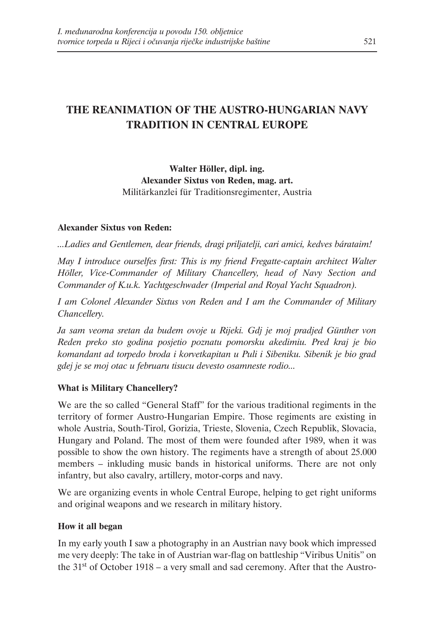# **THE REANIMATION OF THE AUSTRO-HUNGARIAN NAVY TRADITION IN CENTRAL EUROPE**

**Walter Höller, dipl. ing. Alexander Sixtus von Reden, mag. art.** Militärkanzlei für Traditionsregimenter, Austria

#### **Alexander Sixtus von Reden:**

*...Ladies and Gentlemen, dear friends, dragi priljatelji, cari amici, kedves bárataim!*

*May I introduce ourselfes first: This is my friend Fregatte-captain architect Walter Höller, Vice-Commander of Military Chancellery, head of Navy Section and Commander of K.u.k. Yachtgeschwader (Imperial and Royal Yacht Squadron).*

*I am Colonel Alexander Sixtus von Reden and I am the Commander of Military Chancellery.*

*Ja sam veoma sretan da budem ovoje u Rijeki. Gdj je moj pradjed Günther von Reden preko sto godina posjetio poznatu pomorsku akedimiu. Pred kraj je bio komandant ad torpedo broda i korvetkapitan u Puli i Sibeniku. Sibenik je bio grad gdej je se moj otac u februaru tisucu devesto osamneste rodio...*

#### **What is Military Chancellery?**

We are the so called "General Staff" for the various traditional regiments in the territory of former Austro-Hungarian Empire. Those regiments are existing in whole Austria, South-Tirol, Gorizia, Trieste, Slovenia, Czech Republik, Slovacia, Hungary and Poland. The most of them were founded after 1989, when it was possible to show the own history. The regiments have a strength of about 25.000 members – inkluding music bands in historical uniforms. There are not only infantry, but also cavalry, artillery, motor-corps and navy.

We are organizing events in whole Central Europe, helping to get right uniforms and original weapons and we research in military history.

#### **How it all began**

In my early youth I saw a photography in an Austrian navy book which impressed me very deeply: The take in of Austrian war-flag on battleship "Viribus Unitis" on the 31st of October 1918 – a very small and sad ceremony. After that the Austro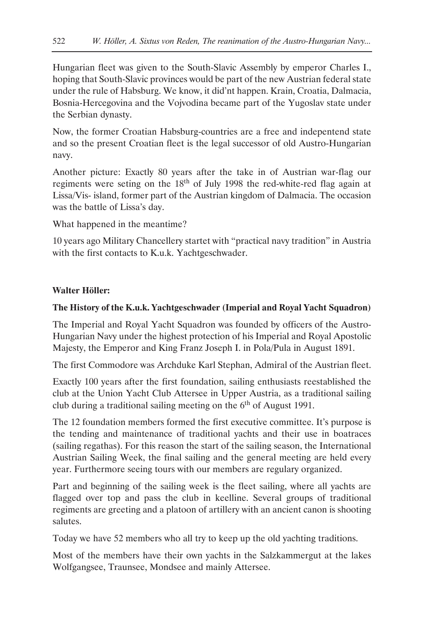Hungarian fleet was given to the South-Slavic Assembly by emperor Charles I., hoping that South-Slavic provinces would be part of the new Austrian federal state under the rule of Habsburg. We know, it did'nt happen. Krain, Croatia, Dalmacia, Bosnia-Hercegovina and the Vojvodina became part of the Yugoslav state under the Serbian dynasty.

Now, the former Croatian Habsburg-countries are a free and indepentend state and so the present Croatian fleet is the legal successor of old Austro-Hungarian navy.

Another picture: Exactly 80 years after the take in of Austrian war-flag our regiments were seting on the 18th of July 1998 the red-white-red flag again at Lissa/Vis- island, former part of the Austrian kingdom of Dalmacia. The occasion was the battle of Lissa's day.

What happened in the meantime?

10 years ago Military Chancellery startet with "practical navy tradition" in Austria with the first contacts to K.u.k. Yachtgeschwader.

## **Walter Höller:**

# **The History of the K.u.k. Yachtgeschwader (Imperial and Royal Yacht Squadron)**

The Imperial and Royal Yacht Squadron was founded by officers of the Austro-Hungarian Navy under the highest protection of his Imperial and Royal Apostolic Majesty, the Emperor and King Franz Joseph I. in Pola/Pula in August 1891.

The first Commodore was Archduke Karl Stephan, Admiral of the Austrian fleet.

Exactly 100 years after the first foundation, sailing enthusiasts reestablished the club at the Union Yacht Club Attersee in Upper Austria, as a traditional sailing club during a traditional sailing meeting on the  $6<sup>th</sup>$  of August 1991.

The 12 foundation members formed the first executive committee. It's purpose is the tending and maintenance of traditional yachts and their use in boatraces (sailing regathas). For this reason the start of the sailing season, the International Austrian Sailing Week, the final sailing and the general meeting are held every year. Furthermore seeing tours with our members are regulary organized.

Part and beginning of the sailing week is the fleet sailing, where all yachts are flagged over top and pass the club in keelline. Several groups of traditional regiments are greeting and a platoon of artillery with an ancient canon is shooting salutes.

Today we have 52 members who all try to keep up the old yachting traditions.

Most of the members have their own yachts in the Salzkammergut at the lakes Wolfgangsee, Traunsee, Mondsee and mainly Attersee.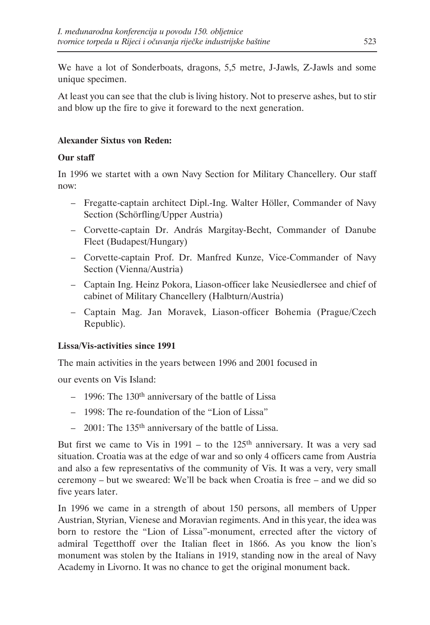We have a lot of Sonderboats, dragons, 5,5 metre, J-Jawls, Z-Jawls and some unique specimen.

At least you can see that the club is living history. Not to preserve ashes, but to stir and blow up the fire to give it foreward to the next generation.

# **Alexander Sixtus von Reden:**

## **Our staff**

In 1996 we startet with a own Navy Section for Military Chancellery. Our staff now:

- Fregatte-captain architect Dipl.-Ing. Walter Höller, Commander of Navy Section (Schörfling/Upper Austria)
- Corvette-captain Dr. András Margitay-Becht, Commander of Danube Fleet (Budapest/Hungary)
- Corvette-captain Prof. Dr. Manfred Kunze, Vice-Commander of Navy Section (Vienna/Austria)
- Captain Ing. Heinz Pokora, Liason-officer lake Neusiedlersee and chief of cabinet of Military Chancellery (Halbturn/Austria)
- Captain Mag. Jan Moravek, Liason-officer Bohemia (Prague/Czech Republic).

## **Lissa/Vis-activities since 1991**

The main activities in the years between 1996 and 2001 focused in

our events on Vis Island:

- $-$  1996: The 130<sup>th</sup> anniversary of the battle of Lissa
- 1998: The re-foundation of the "Lion of Lissa"
- 2001: The 135th anniversary of the battle of Lissa.

But first we came to Vis in  $1991 -$  to the  $125<sup>th</sup>$  anniversary. It was a very sad situation. Croatia was at the edge of war and so only 4 officers came from Austria and also a few representativs of the community of Vis. It was a very, very small ceremony – but we sweared: We'll be back when Croatia is free – and we did so five years later.

In 1996 we came in a strength of about 150 persons, all members of Upper Austrian, Styrian, Vienese and Moravian regiments. And in this year, the idea was born to restore the "Lion of Lissa"-monument, errected after the victory of admiral Tegetthoff over the Italian fleet in 1866. As you know the lion's monument was stolen by the Italians in 1919, standing now in the areal of Navy Academy in Livorno. It was no chance to get the original monument back.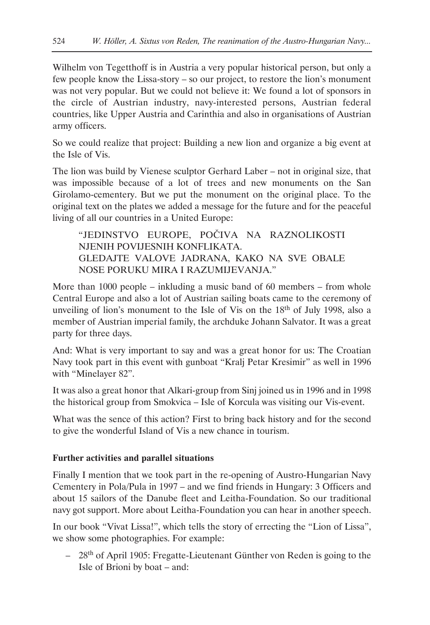Wilhelm von Tegetthoff is in Austria a very popular historical person, but only a few people know the Lissa-story – so our project, to restore the lion's monument was not very popular. But we could not believe it: We found a lot of sponsors in the circle of Austrian industry, navy-interested persons, Austrian federal countries, like Upper Austria and Carinthia and also in organisations of Austrian army officers.

So we could realize that project: Building a new lion and organize a big event at the Isle of Vis.

The lion was build by Vienese sculptor Gerhard Laber – not in original size, that was impossible because of a lot of trees and new monuments on the San Girolamo-cementery. But we put the monument on the original place. To the original text on the plates we added a message for the future and for the peaceful living of all our countries in a United Europe:

"JEDINSTVO EUROPE, POČIVA NA RAZNOLIKOSTI NJENIH POVIJESNIH KONFLIKATA. GLEDAJTE VALOVE JADRANA, KAKO NA SVE OBALE NOSE PORUKU MIRA I RAZUMIJEVANJA."

More than 1000 people – inkluding a music band of 60 members – from whole Central Europe and also a lot of Austrian sailing boats came to the ceremony of unveiling of lion's monument to the Isle of Vis on the 18<sup>th</sup> of July 1998, also a member of Austrian imperial family, the archduke Johann Salvator. It was a great party for three days.

And: What is very important to say and was a great honor for us: The Croatian Navy took part in this event with gunboat "Kralj Petar Kresimir" as well in 1996 with "Minelayer 82".

It was also a great honor that Alkari-group from Sinj joined us in 1996 and in 1998 the historical group from Smokvica – Isle of Korcula was visiting our Vis-event.

What was the sence of this action? First to bring back history and for the second to give the wonderful Island of Vis a new chance in tourism.

## **Further activities and parallel situations**

Finally I mention that we took part in the re-opening of Austro-Hungarian Navy Cementery in Pola/Pula in 1997 – and we find friends in Hungary: 3 Officers and about 15 sailors of the Danube fleet and Leitha-Foundation. So our traditional navy got support. More about Leitha-Foundation you can hear in another speech.

In our book "Vivat Lissa!", which tells the story of errecting the "Lion of Lissa", we show some photographies. For example:

– 28th of April 1905: Fregatte-Lieutenant Günther von Reden is going to the Isle of Brioni by boat – and: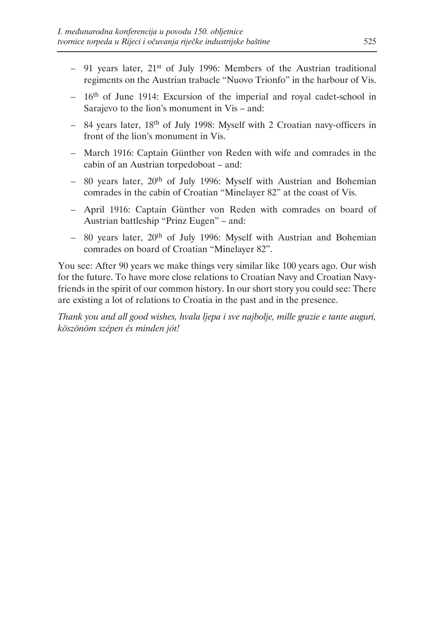- $-$  91 years later, 21<sup>st</sup> of July 1996: Members of the Austrian traditional regiments on the Austrian trabacle "Nuovo Trionfo" in the harbour of Vis.
- $-16<sup>th</sup>$  of June 1914: Excursion of the imperial and royal cadet-school in Sarajevo to the lion's monument in Vis – and:
- 84 years later, 18th of July 1998: Myself with 2 Croatian navy-officers in front of the lion's monument in Vis.
- March 1916: Captain Günther von Reden with wife and comrades in the cabin of an Austrian torpedoboat – and:
- $-$  80 years later, 20<sup>th</sup> of July 1996: Myself with Austrian and Bohemian comrades in the cabin of Croatian "Minelayer 82" at the coast of Vis.
- April 1916: Captain Günther von Reden with comrades on board of Austrian battleship "Prinz Eugen" – and:
- $-$  80 years later, 20<sup>th</sup> of July 1996: Myself with Austrian and Bohemian comrades on board of Croatian "Minelayer 82".

You see: After 90 years we make things very similar like 100 years ago. Our wish for the future. To have more close relations to Croatian Navy and Croatian Navyfriends in the spirit of our common history. In our short story you could see: There are existing a lot of relations to Croatia in the past and in the presence.

*Thank you and all good wishes, hvala ljepa i sve najbolje, mille grazie e tante auguri, köszönöm szépen és minden jót!*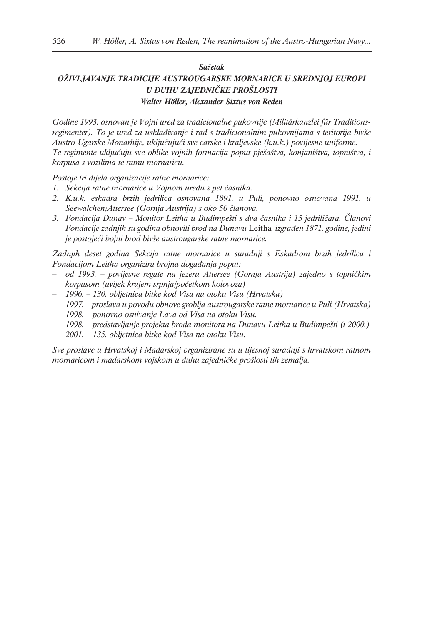#### *Sažetak*

# *OŽIVLJAVANJE TRADICIJE AUSTROUGARSKE MORNARICE U SREDNJOJ EUROPI U DUHU ZAJEDNIČKE PROŠLOSTI*

*Walter Höller, Alexander Sixtus von Reden*

*Godine 1993. osnovan je Vojni ured za tradicionalne pukovnije (Militärkanzlei fűr Traditionsregimenter). To je ured za usklađivanje i rad s tradicionalnim pukovnijama s teritorija bivše Austro-Ugarske Monarhije, uključujući sve carske i kraljevske (k.u.k.) povijesne uniforme. Te regimente uključuju sve oblike vojnih formacija poput pješaštva, konjaništva, topništva, i korpusa s vozilima te ratnu mornaricu.* 

*Postoje tri dijela organizacije ratne mornarice:*

- *1. Sekcija ratne mornarice u Vojnom uredu s pet časnika.*
- *2. K.u.k. eskadra brzih jedrilica osnovana 1891. u Puli, ponovno osnovana 1991. u Seewalchen/Attersee (Gornja Austrija) s oko 50 članova.*
- *3. Fondacija Dunav Monitor Leitha u Budimpešti s dva časnika i 15 jedriličara. Članovi Fondacije zadnjih su godina obnovili brod na Dunavu* Leitha*, izgrađen 1871. godine, jedini je postojeći bojni brod bivše austrougarske ratne mornarice.*

*Zadnjih deset godina Sekcija ratne mornarice u suradnji s Eskadrom brzih jedrilica i Fondacijom Leitha organizira brojna događanja poput:*

- *od 1993. povijesne regate na jezeru Attersee (Gornja Austrija) zajedno s topničkim korpusom (uvijek krajem srpnja/početkom kolovoza)*
- *1996. 130. obljetnica bitke kod Visa na otoku Visu (Hrvatska)*
- *1997. proslava u povodu obnove groblja austrougarske ratne mornarice u Puli (Hrvatska)*
- *1998. ponovno osnivanje Lava od Visa na otoku Visu.*
- *1998. predstavljanje projekta broda monitora na Dunavu Leitha u Budimpešti (i 2000.)*
- *2001. 135. obljetnica bitke kod Visa na otoku Visu.*

*Sve proslave u Hrvatskoj i Mađarskoj organizirane su u tijesnoj suradnji s hrvatskom ratnom mornaricom i mađarskom vojskom u duhu zajedničke prošlosti tih zemalja.*